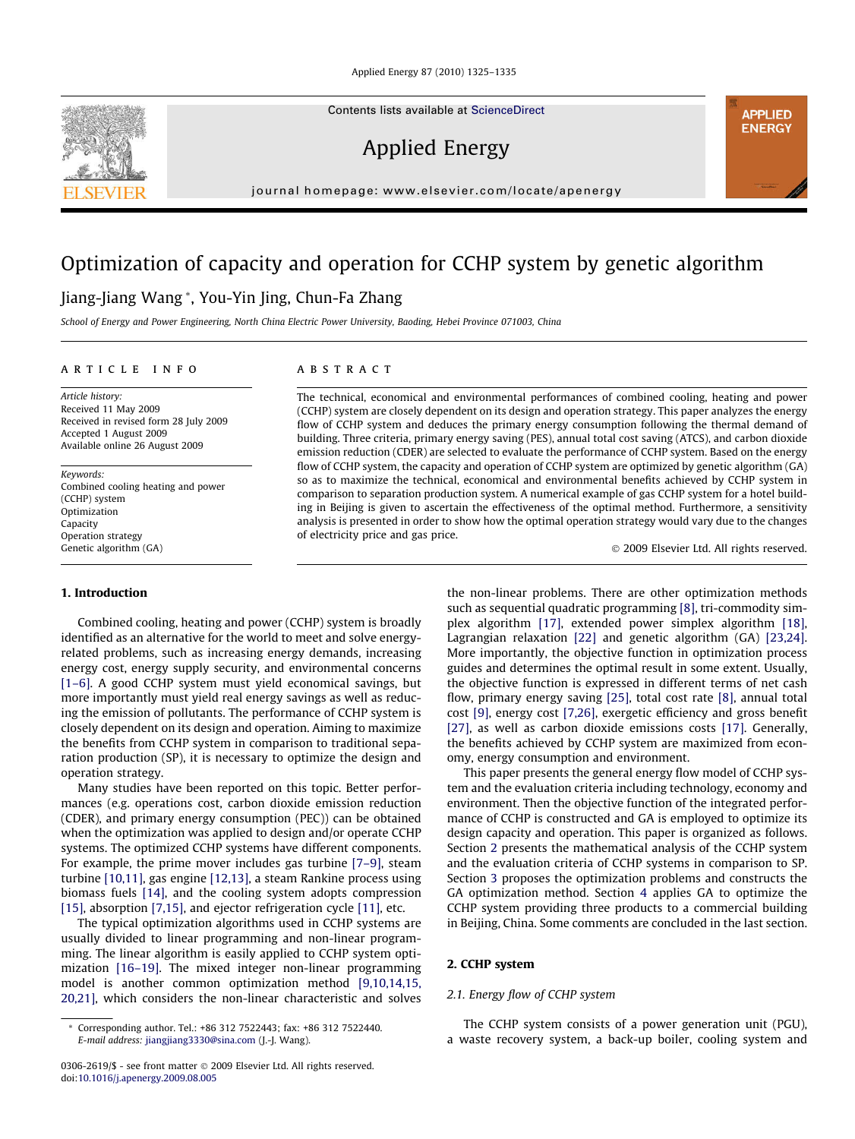Contents lists available at [ScienceDirect](http://www.sciencedirect.com/science/journal/03062619)

Applied Energy

journal homepage: [www.elsevier.com/locate/apenergy](http://www.elsevier.com/locate/apenergy)

# Optimization of capacity and operation for CCHP system by genetic algorithm

# Jiang-Jiang Wang \*, You-Yin Jing, Chun-Fa Zhang

School of Energy and Power Engineering, North China Electric Power University, Baoding, Hebei Province 071003, China

### article info

Article history: Received 11 May 2009 Received in revised form 28 July 2009 Accepted 1 August 2009 Available online 26 August 2009

Keywords: Combined cooling heating and power (CCHP) system Optimization Capacity Operation strategy Genetic algorithm (GA)

#### 1. Introduction

Combined cooling, heating and power (CCHP) system is broadly identified as an alternative for the world to meet and solve energyrelated problems, such as increasing energy demands, increasing energy cost, energy supply security, and environmental concerns [\[1–6\].](#page--1-0) A good CCHP system must yield economical savings, but more importantly must yield real energy savings as well as reducing the emission of pollutants. The performance of CCHP system is closely dependent on its design and operation. Aiming to maximize the benefits from CCHP system in comparison to traditional separation production (SP), it is necessary to optimize the design and operation strategy.

Many studies have been reported on this topic. Better performances (e.g. operations cost, carbon dioxide emission reduction (CDER), and primary energy consumption (PEC)) can be obtained when the optimization was applied to design and/or operate CCHP systems. The optimized CCHP systems have different components. For example, the prime mover includes gas turbine [\[7–9\],](#page--1-0) steam turbine [\[10,11\]](#page--1-0), gas engine [\[12,13\]](#page--1-0), a steam Rankine process using biomass fuels [\[14\],](#page--1-0) and the cooling system adopts compression [\[15\]](#page--1-0), absorption [\[7,15\],](#page--1-0) and ejector refrigeration cycle [\[11\],](#page--1-0) etc.

The typical optimization algorithms used in CCHP systems are usually divided to linear programming and non-linear programming. The linear algorithm is easily applied to CCHP system optimization [\[16–19\].](#page--1-0) The mixed integer non-linear programming model is another common optimization method [\[9,10,14,15,](#page--1-0) [20,21\]](#page--1-0), which considers the non-linear characteristic and solves

# **ABSTRACT**

The technical, economical and environmental performances of combined cooling, heating and power (CCHP) system are closely dependent on its design and operation strategy. This paper analyzes the energy flow of CCHP system and deduces the primary energy consumption following the thermal demand of building. Three criteria, primary energy saving (PES), annual total cost saving (ATCS), and carbon dioxide emission reduction (CDER) are selected to evaluate the performance of CCHP system. Based on the energy flow of CCHP system, the capacity and operation of CCHP system are optimized by genetic algorithm (GA) so as to maximize the technical, economical and environmental benefits achieved by CCHP system in comparison to separation production system. A numerical example of gas CCHP system for a hotel building in Beijing is given to ascertain the effectiveness of the optimal method. Furthermore, a sensitivity analysis is presented in order to show how the optimal operation strategy would vary due to the changes of electricity price and gas price.

- 2009 Elsevier Ltd. All rights reserved.

**APPLIED ENERGY** 

the non-linear problems. There are other optimization methods such as sequential quadratic programming [\[8\]](#page--1-0), tri-commodity simplex algorithm [\[17\],](#page--1-0) extended power simplex algorithm [\[18\],](#page--1-0) Lagrangian relaxation [\[22\]](#page--1-0) and genetic algorithm (GA) [\[23,24\].](#page--1-0) More importantly, the objective function in optimization process guides and determines the optimal result in some extent. Usually, the objective function is expressed in different terms of net cash flow, primary energy saving [\[25\]](#page--1-0), total cost rate [\[8\]](#page--1-0), annual total cost [\[9\],](#page--1-0) energy cost [\[7,26\],](#page--1-0) exergetic efficiency and gross benefit [\[27\]](#page--1-0), as well as carbon dioxide emissions costs [\[17\]](#page--1-0). Generally, the benefits achieved by CCHP system are maximized from economy, energy consumption and environment.

This paper presents the general energy flow model of CCHP system and the evaluation criteria including technology, economy and environment. Then the objective function of the integrated performance of CCHP is constructed and GA is employed to optimize its design capacity and operation. This paper is organized as follows. Section 2 presents the mathematical analysis of the CCHP system and the evaluation criteria of CCHP systems in comparison to SP. Section [3](#page--1-0) proposes the optimization problems and constructs the GA optimization method. Section [4](#page--1-0) applies GA to optimize the CCHP system providing three products to a commercial building in Beijing, China. Some comments are concluded in the last section.

## 2. CCHP system

### 2.1. Energy flow of CCHP system

The CCHP system consists of a power generation unit (PGU), a waste recovery system, a back-up boiler, cooling system and

<span id="page-0-0"></span>

<sup>\*</sup> Corresponding author. Tel.: +86 312 7522443; fax: +86 312 7522440. E-mail address: [jiangjiang3330@sina.com](mailto:jiangjiang3330@sina.com) (J.-J. Wang).

<sup>0306-2619/\$ -</sup> see front matter © 2009 Elsevier Ltd. All rights reserved. doi[:10.1016/j.apenergy.2009.08.005](http://dx.doi.org/10.1016/j.apenergy.2009.08.005)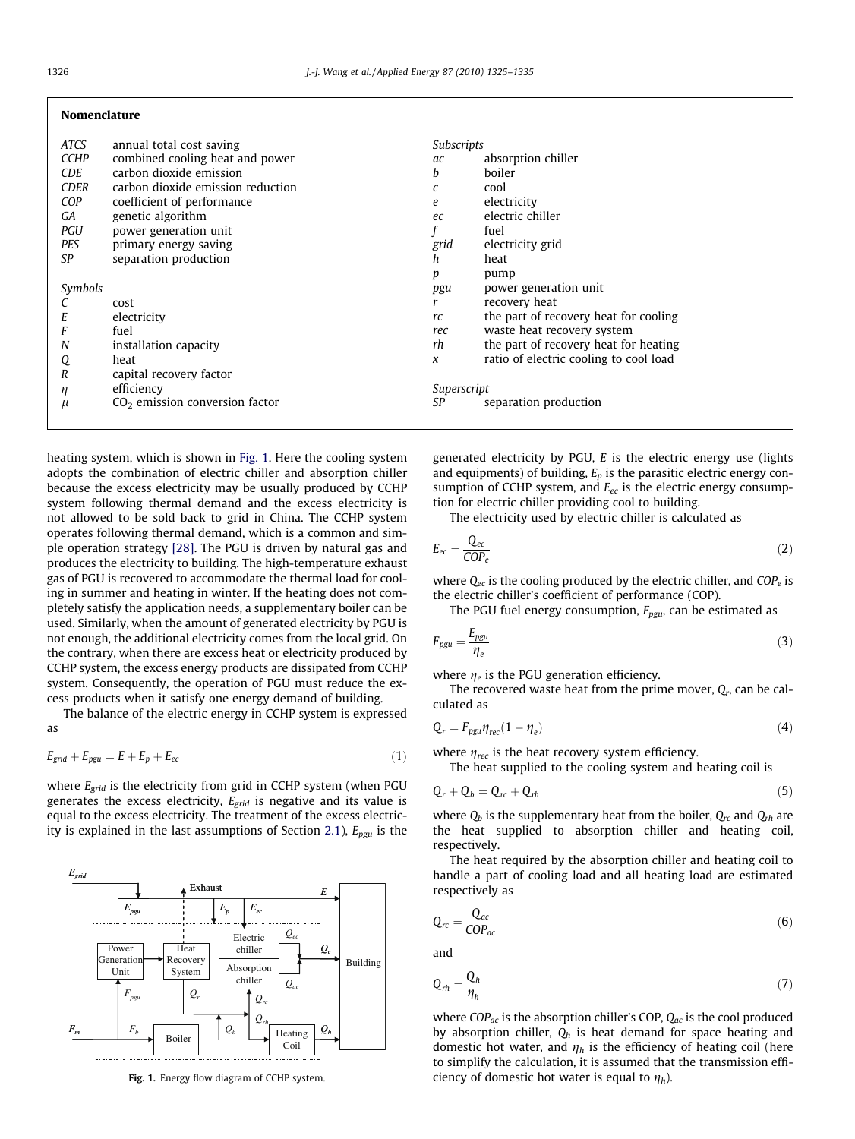|--|

| ATCS        | annual total cost saving          | Subscripts  |                                        |  |
|-------------|-----------------------------------|-------------|----------------------------------------|--|
| <b>CCHP</b> | combined cooling heat and power   | ac          | absorption chiller                     |  |
| <b>CDE</b>  | carbon dioxide emission           | b           | boiler                                 |  |
| <b>CDER</b> | carbon dioxide emission reduction | C           | cool                                   |  |
| <b>COP</b>  | coefficient of performance        | e           | electricity                            |  |
| GA          | genetic algorithm                 | ec          | electric chiller                       |  |
| PGU         | power generation unit             |             | fuel                                   |  |
| <b>PES</b>  | primary energy saving             | grid        | electricity grid                       |  |
| SP          | separation production             | h           | heat                                   |  |
|             |                                   | р           | pump                                   |  |
| Symbols     |                                   | pgu         | power generation unit                  |  |
|             | cost                              |             | recovery heat                          |  |
|             | electricity                       | rc          | the part of recovery heat for cooling  |  |
|             | fuel                              | rec         | waste heat recovery system             |  |
| N           | installation capacity             | rh          | the part of recovery heat for heating  |  |
| Q           | heat                              | $\chi$      | ratio of electric cooling to cool load |  |
| R           | capital recovery factor           |             |                                        |  |
| η           | efficiency                        | Superscript |                                        |  |
| $\mu$       | $CO2$ emission conversion factor  | SP          | separation production                  |  |

heating system, which is shown in Fig. 1. Here the cooling system adopts the combination of electric chiller and absorption chiller because the excess electricity may be usually produced by CCHP system following thermal demand and the excess electricity is not allowed to be sold back to grid in China. The CCHP system operates following thermal demand, which is a common and simple operation strategy [\[28\]](#page--1-0). The PGU is driven by natural gas and produces the electricity to building. The high-temperature exhaust gas of PGU is recovered to accommodate the thermal load for cooling in summer and heating in winter. If the heating does not completely satisfy the application needs, a supplementary boiler can be used. Similarly, when the amount of generated electricity by PGU is not enough, the additional electricity comes from the local grid. On the contrary, when there are excess heat or electricity produced by CCHP system, the excess energy products are dissipated from CCHP system. Consequently, the operation of PGU must reduce the excess products when it satisfy one energy demand of building.

The balance of the electric energy in CCHP system is expressed as

$$
E_{grid} + E_{pgu} = E + E_p + E_{ec}
$$
\n<sup>(1)</sup>

where  $E_{grid}$  is the electricity from grid in CCHP system (when PGU generates the excess electricity,  $E_{grid}$  is negative and its value is equal to the excess electricity. The treatment of the excess electric-ity is explained in the last assumptions of Section [2.1\)](#page-0-0),  $E_{pgu}$  is the



Fig. 1. Energy flow diagram of CCHP system.

generated electricity by PGU,  $E$  is the electric energy use (lights and equipments) of building,  $E_p$  is the parasitic electric energy consumption of CCHP system, and  $E_{ec}$  is the electric energy consumption for electric chiller providing cool to building.

The electricity used by electric chiller is calculated as

$$
E_{ec} = \frac{Q_{ec}}{COP_e} \tag{2}
$$

where  $Q_{ec}$  is the cooling produced by the electric chiller, and COP<sub>e</sub> is the electric chiller's coefficient of performance (COP).

The PGU fuel energy consumption,  $F_{pgu}$ , can be estimated as

$$
F_{pgu} = \frac{E_{pgu}}{\eta_e} \tag{3}
$$

where  $\eta_e$  is the PGU generation efficiency.

The recovered waste heat from the prime mover,  $Q_r$ , can be calculated as

$$
Q_r = F_{pgu} \eta_{rec} (1 - \eta_e) \tag{4}
$$

where  $\eta_{rec}$  is the heat recovery system efficiency.

The heat supplied to the cooling system and heating coil is

$$
Q_r + Q_b = Q_{rc} + Q_{rh} \tag{5}
$$

where  $Q_b$  is the supplementary heat from the boiler,  $Q_{rc}$  and  $Q_{rh}$  are the heat supplied to absorption chiller and heating coil, respectively.

The heat required by the absorption chiller and heating coil to handle a part of cooling load and all heating load are estimated respectively as

$$
Q_{rc} = \frac{Q_{ac}}{COP_{ac}} \tag{6}
$$

and

$$
Q_{rh} = \frac{Q_h}{\eta_h} \tag{7}
$$

where  $COP_{ac}$  is the absorption chiller's COP,  $Q_{ac}$  is the cool produced by absorption chiller,  $Q_h$  is heat demand for space heating and domestic hot water, and  $\eta_h$  is the efficiency of heating coil (here to simplify the calculation, it is assumed that the transmission efficiency of domestic hot water is equal to  $\eta_h$ ).